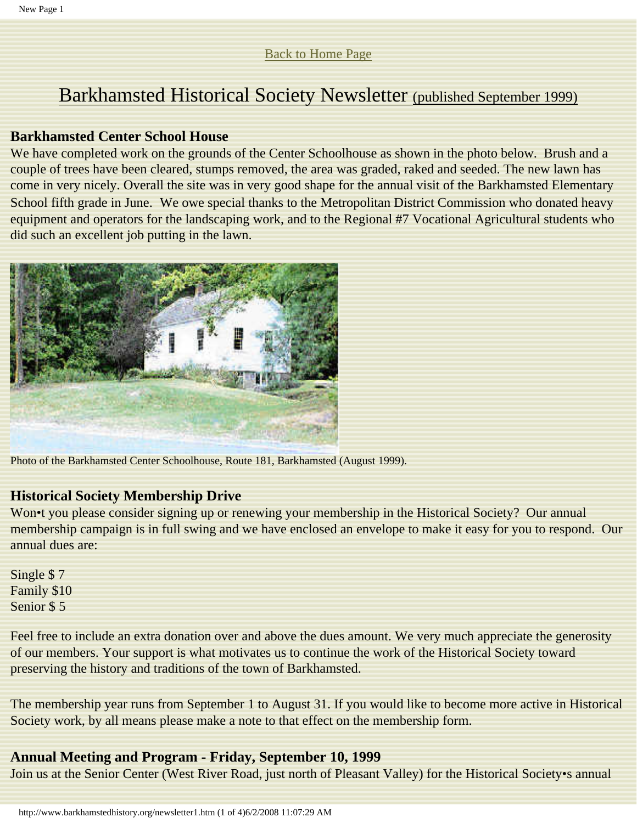# [Back to Home Page](http://www.barkhamstedhistory.org/index.html)

# Barkhamsted Historical Society Newsletter (published September 1999)

# **Barkhamsted Center School House**

We have completed work on the grounds of the Center Schoolhouse as shown in the photo below. Brush and a couple of trees have been cleared, stumps removed, the area was graded, raked and seeded. The new lawn has come in very nicely. Overall the site was in very good shape for the annual visit of the Barkhamsted Elementary School fifth grade in June. We owe special thanks to the Metropolitan District Commission who donated heavy equipment and operators for the landscaping work, and to the Regional #7 Vocational Agricultural students who did such an excellent job putting in the lawn.



Photo of the Barkhamsted Center Schoolhouse, Route 181, Barkhamsted (August 1999).

# **Historical Society Membership Drive**

Won•t you please consider signing up or renewing your membership in the Historical Society? Our annual membership campaign is in full swing and we have enclosed an envelope to make it easy for you to respond. Our annual dues are:

Single \$ 7 Family \$10 Senior \$ 5

Feel free to include an extra donation over and above the dues amount. We very much appreciate the generosity of our members. Your support is what motivates us to continue the work of the Historical Society toward preserving the history and traditions of the town of Barkhamsted.

The membership year runs from September 1 to August 31. If you would like to become more active in Historical Society work, by all means please make a note to that effect on the membership form.

# **Annual Meeting and Program - Friday, September 10, 1999**

Join us at the Senior Center (West River Road, just north of Pleasant Valley) for the Historical Society•s annual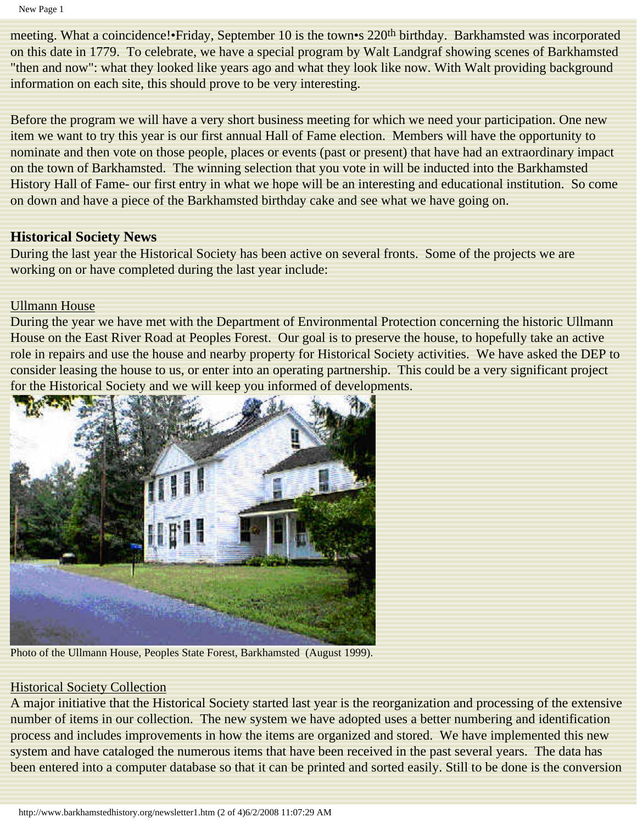New Page 1

meeting. What a coincidence!•Friday, September 10 is the town•s 220<sup>th</sup> birthday. Barkhamsted was incorporated on this date in 1779. To celebrate, we have a special program by Walt Landgraf showing scenes of Barkhamsted "then and now": what they looked like years ago and what they look like now. With Walt providing background information on each site, this should prove to be very interesting.

Before the program we will have a very short business meeting for which we need your participation. One new item we want to try this year is our first annual Hall of Fame election. Members will have the opportunity to nominate and then vote on those people, places or events (past or present) that have had an extraordinary impact on the town of Barkhamsted. The winning selection that you vote in will be inducted into the Barkhamsted History Hall of Fame- our first entry in what we hope will be an interesting and educational institution. So come on down and have a piece of the Barkhamsted birthday cake and see what we have going on.

# **Historical Society News**

During the last year the Historical Society has been active on several fronts. Some of the projects we are working on or have completed during the last year include:

# Ullmann House

During the year we have met with the Department of Environmental Protection concerning the historic Ullmann House on the East River Road at Peoples Forest. Our goal is to preserve the house, to hopefully take an active role in repairs and use the house and nearby property for Historical Society activities. We have asked the DEP to consider leasing the house to us, or enter into an operating partnership. This could be a very significant project for the Historical Society and we will keep you informed of developments.



Photo of the Ullmann House, Peoples State Forest, Barkhamsted (August 1999).

# Historical Society Collection

A major initiative that the Historical Society started last year is the reorganization and processing of the extensive number of items in our collection. The new system we have adopted uses a better numbering and identification process and includes improvements in how the items are organized and stored. We have implemented this new system and have cataloged the numerous items that have been received in the past several years. The data has been entered into a computer database so that it can be printed and sorted easily. Still to be done is the conversion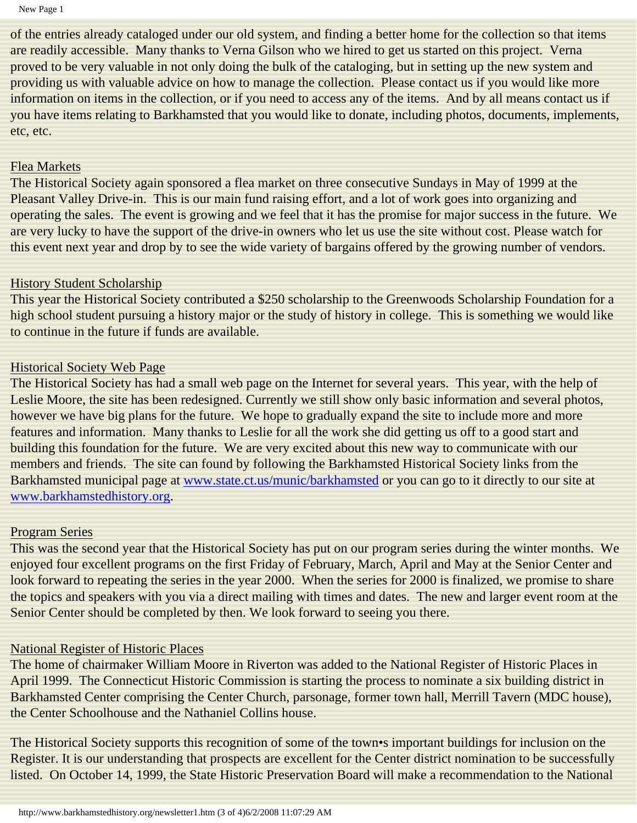of the entries already cataloged under our old system, and finding a better home for the collection so that items are readily accessible. Many thanks to Verna Gilson who we hired to get us started on this project. Verna proved to be very valuable in not only doing the bulk of the cataloging, but in setting up the new system and providing us with valuable advice on how to manage the collection. Please contact us if you would like more information on items in the collection, or if you need to access any of the items. And by all means contact us if you have items relating to Barkhamsted that you would like to donate, including photos, documents, implements, etc, etc.

#### Flea Markets

The Historical Society again sponsored a flea market on three consecutive Sundays in May of 1999 at the Pleasant Valley Drive-in. This is our main fund raising effort, and a lot of work goes into organizing and operating the sales. The event is growing and we feel that it has the promise for major success in the future. We are very lucky to have the support of the drive-in owners who let us use the site without cost. Please watch for this event next year and drop by to see the wide variety of bargains offered by the growing number of vendors.

#### **History Student Scholarship**

This year the Historical Society contributed a \$250 scholarship to the Greenwoods Scholarship Foundation for a high school student pursuing a history major or the study of history in college. This is something we would like to continue in the future if funds are available.

#### Historical Society Web Page

The Historical Society has had a small web page on the Internet for several years. This year, with the help of Leslie Moore, the site has been redesigned. Currently we still show only basic information and several photos, however we have big plans for the future. We hope to gradually expand the site to include more and more features and information. Many thanks to Leslie for all the work she did getting us off to a good start and building this foundation for the future. We are very excited about this new way to communicate with our members and friends. The site can found by following the Barkhamsted Historical Society links from the Barkhamsted municipal page at www.state.ct.us/munic/barkhamsted or you can go to it directly to our site at www.barkhamstedhistory.org.

#### Program Series

This was the second year that the Historical Society has put on our program series during the winter months. We enjoyed four excellent programs on the first Friday of February, March, April and May at the Senior Center and look forward to repeating the series in the year 2000. When the series for 2000 is finalized, we promise to share the topics and speakers with you via a direct mailing with times and dates. The new and larger event room at the Senior Center should be completed by then. We look forward to seeing you there.

#### National Register of Historic Places

The home of chairmaker William Moore in Riverton was added to the National Register of Historic Places in April 1999. The Connecticut Historic Commission is starting the process to nominate a six building district in Barkhamsted Center comprising the Center Church, parsonage, former town hall, Merrill Tavern (MDC house), the Center Schoolhouse and the Nathaniel Collins house.

The Historical Society supports this recognition of some of the town•s important buildings for inclusion on the Register. It is our understanding that prospects are excellent for the Center district nomination to be successfully listed. On October 14, 1999, the State Historic Preservation Board will make a recommendation to the National